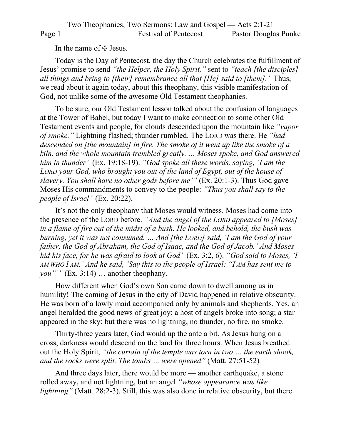Two Theophanies, Two Sermons: Law and Gospel **—** Acts 2:1-21 Page 1 Festival of Pentecost Pastor Douglas Punke

In the name of  $\pm$  Jesus.

Today is the Day of Pentecost, the day the Church celebrates the fulfillment of Jesus' promise to send *"the Helper, the Holy Spirit,"* sent to *"teach [the disciples] all things and bring to [their] remembrance all that [He] said to [them]."* Thus, we read about it again today, about this theophany, this visible manifestation of God, not unlike some of the awesome Old Testament theophanies.

To be sure, our Old Testament lesson talked about the confusion of languages at the Tower of Babel, but today I want to make connection to some other Old Testament events and people, for clouds descended upon the mountain like *"vapor of smoke."* Lightning flashed; thunder rumbled. The LORD was there. He *"had descended on [the mountain] in fire. The smoke of it went up like the smoke of a kiln, and the whole mountain trembled greatly. … Moses spoke, and God answered him in thunder"* (Ex. 19:18-19). *"God spoke all these words, saying, 'I am the*  LORD your God, who brought you out of the land of Egypt, out of the house of *slavery. You shall have no other gods before me'"* (Ex. 20:1-3). Thus God gave Moses His commandments to convey to the people: *"Thus you shall say to the people of Israel"* (Ex. 20:22).

It's not the only theophany that Moses would witness. Moses had come into the presence of the LORD before. *"And the angel of the LORD appeared to [Moses] in a flame of fire out of the midst of a bush. He looked, and behold, the bush was burning, yet it was not consumed. … And [the LORD] said, 'I am the God of your father, the God of Abraham, the God of Isaac, and the God of Jacob.' And Moses hid his face, for he was afraid to look at God"* (Ex. 3:2, 6). *"God said to Moses, 'I AM WHO I AM.' And he said, 'Say this to the people of Israel: "I AM has sent me to you*"" (Ex. 3:14) ... another theophany.

How different when God's own Son came down to dwell among us in humility! The coming of Jesus in the city of David happened in relative obscurity. He was born of a lowly maid accompanied only by animals and shepherds. Yes, an angel heralded the good news of great joy; a host of angels broke into song; a star appeared in the sky; but there was no lightning, no thunder, no fire, no smoke.

Thirty-three years later, God would up the ante a bit. As Jesus hung on a cross, darkness would descend on the land for three hours. When Jesus breathed out the Holy Spirit, *"the curtain of the temple was torn in two … the earth shook, and the rocks were split. The tombs … were opened"* (Matt. 27:51-52)*.*

And three days later, there would be more — another earthquake, a stone rolled away, and not lightning, but an angel *"whose appearance was like lightning*" (Matt. 28:2-3). Still, this was also done in relative obscurity, but there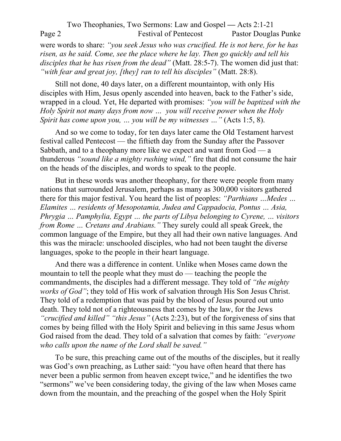Two Theophanies, Two Sermons: Law and Gospel **—** Acts 2:1-21 Page 2 Festival of Pentecost Pastor Douglas Punke were words to share: *"you seek Jesus who was crucified. He is not here, for he has risen, as he said. Come, see the place where he lay. Then go quickly and tell his disciples that he has risen from the dead"* (Matt. 28:5-7). The women did just that: *"with fear and great joy, [they] ran to tell his disciples"* (Matt. 28:8).

Still not done, 40 days later, on a different mountaintop, with only His disciples with Him, Jesus openly ascended into heaven, back to the Father's side, wrapped in a cloud. Yet, He departed with promises: *"you will be baptized with the Holy Spirit not many days from now … you will receive power when the Holy Spirit has come upon you, … you will be my witnesses …"* (Acts 1:5, 8).

And so we come to today, for ten days later came the Old Testament harvest festival called Pentecost — the fiftieth day from the Sunday after the Passover Sabbath, and to a theophany more like we expect and want from God — a thunderous *"sound like a mighty rushing wind,"* fire that did not consume the hair on the heads of the disciples, and words to speak to the people.

But in these words was another theophany, for there were people from many nations that surrounded Jerusalem, perhaps as many as 300,000 visitors gathered there for this major festival. You heard the list of peoples: *"Parthians …Medes … Elamites … residents of Mesopotamia, Judea and Cappadocia, Pontus … Asia, Phrygia … Pamphylia, Egypt … the parts of Libya belonging to Cyrene, … visitors from Rome … Cretans and Arabians."* They surely could all speak Greek, the common language of the Empire, but they all had their own native languages. And this was the miracle: unschooled disciples, who had not been taught the diverse languages, spoke to the people in their heart language.

And there was a difference in content. Unlike when Moses came down the mountain to tell the people what they must do — teaching the people the commandments, the disciples had a different message. They told of *"the mighty works of God"*; they told of His work of salvation through His Son Jesus Christ. They told of a redemption that was paid by the blood of Jesus poured out unto death. They told not of a righteousness that comes by the law, for the Jews *"crucified and killed" "this Jesus"* (Acts 2:23), but of the forgiveness of sins that comes by being filled with the Holy Spirit and believing in this same Jesus whom God raised from the dead. They told of a salvation that comes by faith: *"everyone who calls upon the name of the Lord shall be saved."*

To be sure, this preaching came out of the mouths of the disciples, but it really was God's own preaching, as Luther said: "you have often heard that there has never been a public sermon from heaven except twice," and he identifies the two "sermons" we've been considering today, the giving of the law when Moses came down from the mountain, and the preaching of the gospel when the Holy Spirit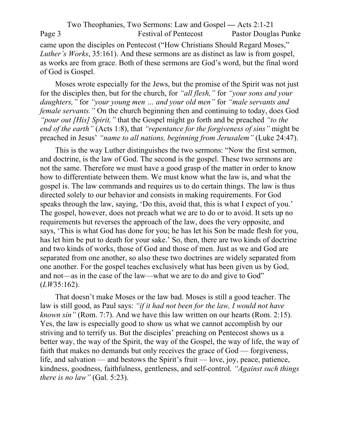Two Theophanies, Two Sermons: Law and Gospel **—** Acts 2:1-21 Page 3 Festival of Pentecost Pastor Douglas Punke came upon the disciples on Pentecost ("How Christians Should Regard Moses," *Luther's Works*, 35:161). And these sermons are as distinct as law is from gospel, as works are from grace. Both of these sermons are God's word, but the final word of God is Gospel.

Moses wrote especially for the Jews, but the promise of the Spirit was not just for the disciples then, but for the church, for *"all flesh,"* for *"your sons and your daughters,"* for *"your young men … and your old men"* for *"male servants and female servants."* On the church beginning then and continuing to today, does God *"pour out [His] Spirit,"* that the Gospel might go forth and be preached *"to the end of the earth"* (Acts 1:8), that *"repentance for the forgiveness of sins"* might be preached in Jesus' *"name to all nations, beginning from Jerusalem"* (Luke 24:47).

This is the way Luther distinguishes the two sermons: "Now the first sermon, and doctrine, is the law of God. The second is the gospel. These two sermons are not the same. Therefore we must have a good grasp of the matter in order to know how to differentiate between them. We must know what the law is, and what the gospel is. The law commands and requires us to do certain things. The law is thus directed solely to our behavior and consists in making requirements. For God speaks through the law, saying, 'Do this, avoid that, this is what I expect of you.' The gospel, however, does not preach what we are to do or to avoid. It sets up no requirements but reverses the approach of the law, does the very opposite, and says, 'This is what God has done for you; he has let his Son be made flesh for you, has let him be put to death for your sake.' So, then, there are two kinds of doctrine and two kinds of works, those of God and those of men. Just as we and God are separated from one another, so also these two doctrines are widely separated from one another. For the gospel teaches exclusively what has been given us by God, and not—as in the case of the law—what we are to do and give to God" (*LW*35:162).

That doesn't make Moses or the law bad. Moses is still a good teacher. The law is still good, as Paul says: *"if it had not been for the law, I would not have known sin"* (Rom. 7:7). And we have this law written on our hearts (Rom. 2:15). Yes, the law is especially good to show us what we cannot accomplish by our striving and to terrify us. But the disciples' preaching on Pentecost shows us a better way, the way of the Spirit, the way of the Gospel, the way of life, the way of faith that makes no demands but only receives the grace of God — forgiveness, life, and salvation — and bestows the Spirit's fruit — love, joy, peace, patience, kindness, goodness, faithfulness, gentleness, and self-control. *"Against such things there is no law"* (Gal. 5:23).